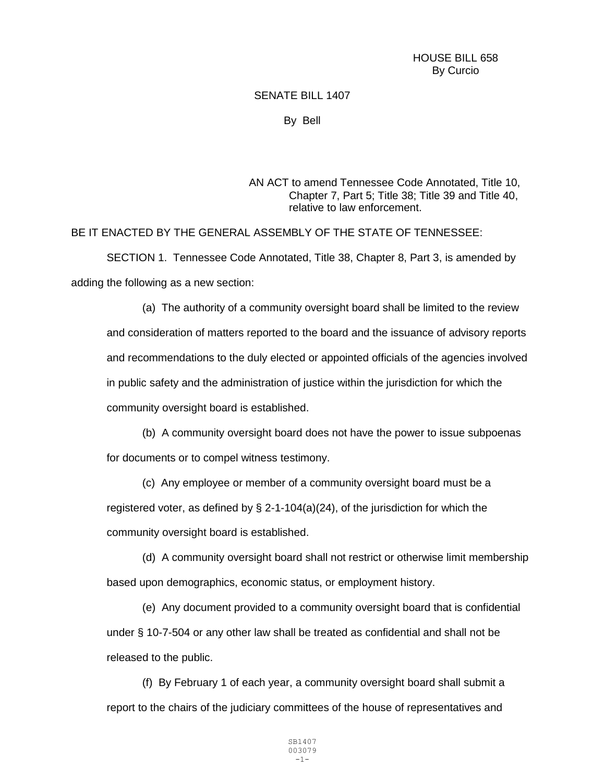## SENATE BILL 1407

By Bell

AN ACT to amend Tennessee Code Annotated, Title 10, Chapter 7, Part 5; Title 38; Title 39 and Title 40, relative to law enforcement.

BE IT ENACTED BY THE GENERAL ASSEMBLY OF THE STATE OF TENNESSEE:

SECTION 1. Tennessee Code Annotated, Title 38, Chapter 8, Part 3, is amended by adding the following as a new section:

(a) The authority of a community oversight board shall be limited to the review and consideration of matters reported to the board and the issuance of advisory reports and recommendations to the duly elected or appointed officials of the agencies involved in public safety and the administration of justice within the jurisdiction for which the community oversight board is established.

(b) A community oversight board does not have the power to issue subpoenas for documents or to compel witness testimony.

(c) Any employee or member of a community oversight board must be a registered voter, as defined by  $\S$  2-1-104(a)(24), of the jurisdiction for which the community oversight board is established.

(d) A community oversight board shall not restrict or otherwise limit membership based upon demographics, economic status, or employment history.

(e) Any document provided to a community oversight board that is confidential under § 10-7-504 or any other law shall be treated as confidential and shall not be released to the public.

(f) By February 1 of each year, a community oversight board shall submit a report to the chairs of the judiciary committees of the house of representatives and